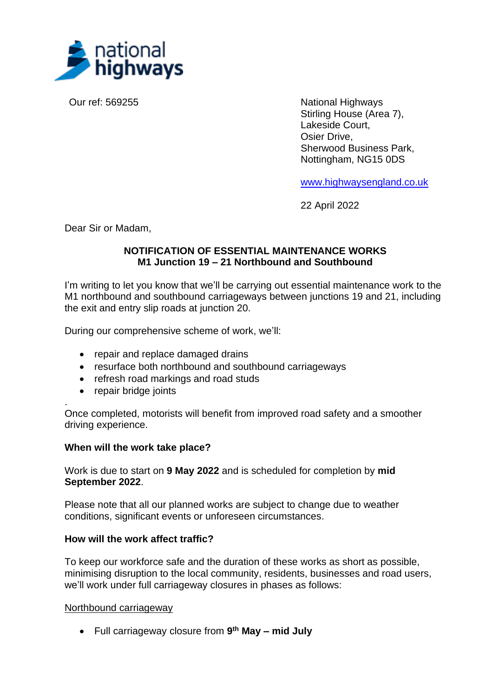

Our ref: 569255 National Highways Stirling House (Area 7), Lakeside Court, Osier Drive, Sherwood Business Park, Nottingham, NG15 0DS

[www.highwaysengland.co.uk](http://www.highwaysengland.co.uk/)

22 April 2022

Dear Sir or Madam,

### **NOTIFICATION OF ESSENTIAL MAINTENANCE WORKS M1 Junction 19 – 21 Northbound and Southbound**

I'm writing to let you know that we'll be carrying out essential maintenance work to the M1 northbound and southbound carriageways between junctions 19 and 21, including the exit and entry slip roads at junction 20.

During our comprehensive scheme of work, we'll:

- repair and replace damaged drains
- resurface both northbound and southbound carriageways
- refresh road markings and road studs
- repair bridge joints

. Once completed, motorists will benefit from improved road safety and a smoother driving experience.

#### **When will the work take place?**

Work is due to start on **9 May 2022** and is scheduled for completion by **mid September 2022**.

Please note that all our planned works are subject to change due to weather conditions, significant events or unforeseen circumstances.

#### **How will the work affect traffic?**

To keep our workforce safe and the duration of these works as short as possible, minimising disruption to the local community, residents, businesses and road users, we'll work under full carriageway closures in phases as follows:

#### Northbound carriageway

• Full carriageway closure from **9 th May – mid July**